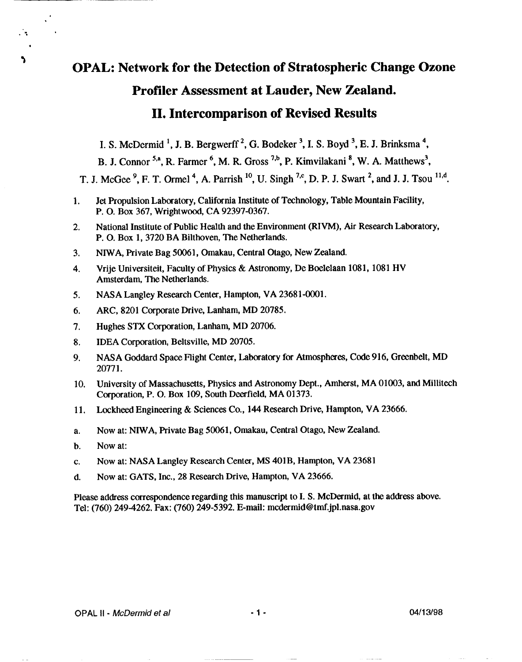# **OPAL: Network for the Detection of Stratospheric Change Ozone** Profiler Assessment at Lauder, New Zealand. **II. Intercomparison of Revised Results**

I. S. McDermid<sup>1</sup>, J. B. Bergwerff<sup>2</sup>, G. Bodeker<sup>3</sup>, I. S. Boyd<sup>3</sup>, E. J. Brinksma<sup>4</sup>,

B. J. Connor 5,a, R. Farmer <sup>6</sup>, M. R. Gross <sup>7,b</sup>, P. Kimvilakani <sup>8</sup>, W. A. Matthews<sup>3</sup>,

T. J. McGee<sup>9</sup>, F. T. Ormel<sup>4</sup>, A. Parrish<sup>10</sup>, U. Singh<sup>7,c</sup>, D. P. J. Swart<sup>2</sup>, and J. J. Tsou<sup>11,d</sup>.

- Jet Propulsion Laboratory, California Institute of Technology, Table Mountain Facility,  $1.$ P. O. Box 367, Wrightwood, CA 92397-0367.
- National Institute of Public Health and the Environment (RIVM), Air Research Laboratory,  $2.$ P. O. Box 1, 3720 BA Bilthoven. The Netherlands.
- $3<sub>1</sub>$ NIWA, Private Bag 50061, Omakau, Central Otago, New Zealand.
- Vrije Universiteit, Faculty of Physics & Astronomy, De Boelelaan 1081, 1081 HV 4. Amsterdam, The Netherlands.
- NASA Langley Research Center, Hampton, VA 23681-0001.  $5<sub>1</sub>$
- 6. ARC, 8201 Corporate Drive, Lanham, MD 20785.
- $\overline{7}$ . Hughes STX Corporation, Lanham, MD 20706.
- 8. IDEA Corporation, Beltsville, MD 20705.
- NASA Goddard Space Flight Center, Laboratory for Atmospheres, Code 916, Greenbelt, MD  $9<sub>r</sub>$ 20771.
- University of Massachusetts, Physics and Astronomy Dept., Amherst, MA 01003, and Millitech  $10.$ Corporation, P. O. Box 109, South Deerfield, MA 01373.
- Lockheed Engineering & Sciences Co., 144 Research Drive, Hampton, VA 23666. 11.
- Now at: NIWA, Private Bag 50061, Omakau, Central Otago, New Zealand.  $\mathbf{a}$ .
- Now at:  $\mathbf b$ .

 $\mathcal{L}_{\mathcal{A}}$ 

N

- Now at: NASA Langley Research Center, MS 401B, Hampton, VA 23681 c.
- Now at: GATS, Inc., 28 Research Drive, Hampton, VA 23666.  $\mathbf{d}$ .

Please address correspondence regarding this manuscript to I. S. McDermid, at the address above. Tel: (760) 249-4262. Fax: (760) 249-5392. E-mail: mcdermid@tmf.jpl.nasa.gov

 $-1-$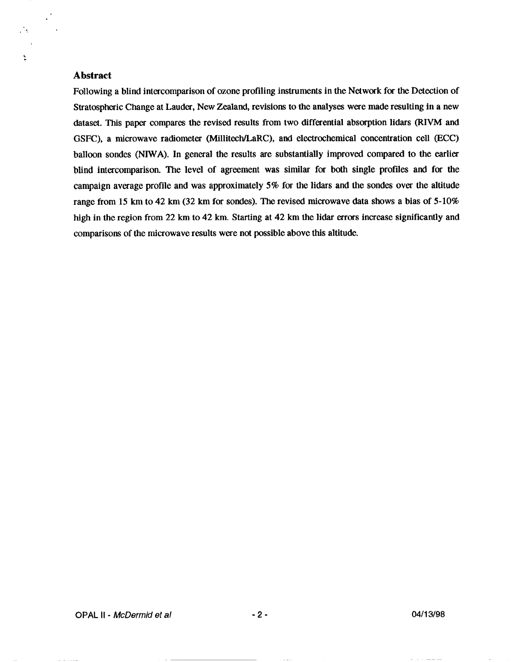# **Abstract**

.".,

 $\mathcal{L}^{\dagger}$ 

;

Following a blind intercomparison of ozone profiling instruments in the Network for the Detection of Stratospheric Change at Lauder, New Zealand, revisions to the analyses were made resulting in a new dataset. This paper compares the revised results from two differential absorption lidars (RIVM and GSFC), a microwave radiometer (Millitech/LaRC), and electrochemical concentration cell (ECC) balloon sondes (NIWA). In general the results are substantially improved compared to the earlier blind intercomparison. The level of agreement was similar for both single profiles and for the campaign average profile and was approximately 5% for the lidars and the sondes over the altitude range from 15 km to 42 km (32 km for sondes). The revised microwave data shows a bias of 5-10% high in the region from 22 km to 42 km. Starting at 42 km the lidar errors increase significantly and comparisons of the microwave results were not possible above this altitude.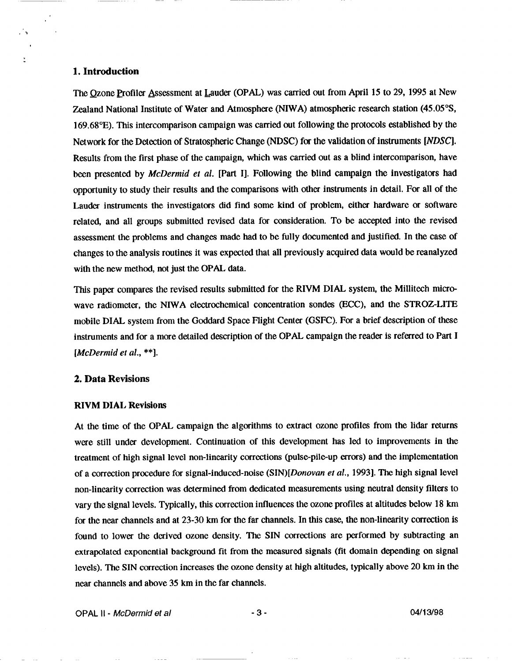## **1. Introduction**

 $\mathcal{L}_{\mathbf{r}}$ 

ž

The Ozone Profiler Assessment at Lauder (OPAL) was carried out from April 15 to 29, 1995 at New Zealand National Institute of Water and Atmosphere (NIWA) atmospheric research station (45.05°S, 169.68"E). This intercomparison campaign was carried out following the protocols established by the Network for the Detection of Stratospheric Change (NDSC) for the validation of instruments [NDSC]. Results from the first phase of the campaign, which was carried out as a blind intercomparison, have been presented by McDermid et *al.* [Part 1]. Following the blind campaign the investigators had opportunisty to study their results and the comparisons with other instruments in detail, For all of the Lauder instruments the investigators did find some kind of problem, either hardware or software related, and all groups submitted revised data for consideration. To be accepted into the revised assessment the problems and changes made had to be fully documented and justified. In the case of changes to the analysis routines it was expected that all previously acquired data would be reanalyzed with the new method, not just the OPAL data.

This paper compares the revised results submitted for the RIVM DIAL system, the Millitech microwave radiometer, the NIWA electrochemical concentration sondes (ECC), and the STROZ-LITE mobile DIAL system from the Goddard Space Flight Center (GSFC). For a brief description of these instruments and for a more detailed description of the OPAL campaign the reader is referred to Part I *[McDermid et al., \*\*].*

### **2. Data Revisions**

### **RIVM DIAL Revisions**

At the time of the OPAL campaign the algorithms to extract ozone profiles from the lidar returns were still under development. Continuation of this development has led to improvements in the treatment of high signal level non-linearity corrections (pulse-pile-up errors) and the implementation of a correction procedure for signal-induced-noise *(SIN) [Donovan et aL,* 1993]. The high signal level non-linearity correction was determined from dedicated measurements using neutral density filters to vary the signal levels. Typically, this correction influences the ozone profiles at altitudes below 18 km for the near channels and at 23-30 km for the far channels. In this case, the non-linearity correction is found to lower the derived ozone density. The SIN corrections are performed by subtracting an extrapolated exponential background fit from the measured signals (fit domain depending on signal levels). The SIN correction increases the ozone density at high altitudes, typically above 20 km in the near channels and above 35 km in the far channels.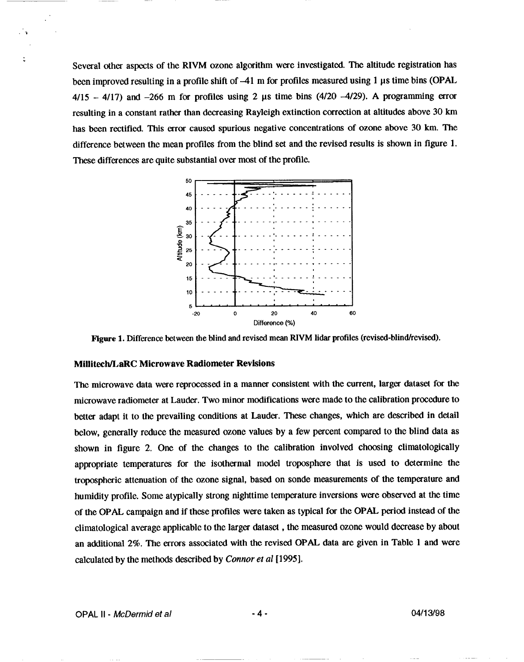**Several other** aspects of the RIVM ozone algorithm were investigated. The altitude registration has been improved resulting in a profile shift of  $-41$  m for profiles measured using 1  $\mu$ s time bins (OPAL  $4/15 - 4/17$ ) and  $-266$  m for profiles using 2  $\mu$ s time bins (4/20  $-4/29$ ). A programming error resulting in a constant rather than decreasing Rayleigh extinction correction at altitudes above 30 km has been rectified. This error caused spurious negative concentrations of ozone above *30 km. The* difference between the mean profiles from the blind set and the revised results is shown in tigure 1. These differences are quite substantial over most of the profile.



Figure 1. Difference between the blind and revised mean RIVM lidar profiles (revised-blind/revised).

#### **Millitech/LaRC Microwave Radiometer Revisions**

The microwave data were reprocessed in a manner consistent with the current, larger dataset for the microwave radiometer at Lauder. Two minor modifications were made to the calibration procedure to better adapt it to the prevailing conditions at Lauder. These changes, which are described in detail below, generally reduce the measured ozone values by a few percent compared to the blind data as shown in figure 2. One of the changes to the calibration involved choosing climatologically appropriate temperatures for the isothermal model troposphere that is used to determine the tropospheric attenuation of the ozone signal, based on sonde measurements of the temperature and humidity profile. Some atypically strong nighttime temperature inversions were observed at the time of the OPAL campaign and if these profiles were taken as typical for the OPAL period instead of the climatological average applicable to the larger dataset, the measured ozone would decrease by about an additional 2%. The errors associated with the revised OPAL data are given in Table 1 and were calculated by the methods described by Connor *et al* [1995].

**.-l**

.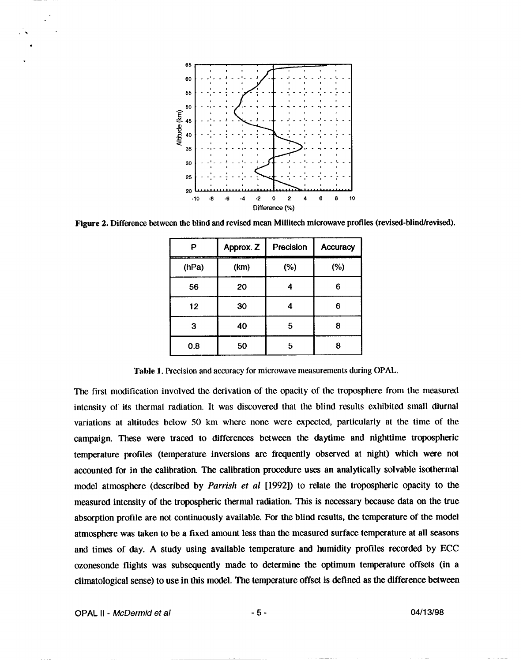

**Figure 2.** Difference between the blind and revised mean Millitech microwave profiles (revised-blind/revised).

| D                               | Approx. Z<br>---- | Precision<br>a cha ann an chailte ann a bhliadhna ann an ceanna an chan an chan ann an chailte an chan an chailte | <b>Accuracy</b> |
|---------------------------------|-------------------|-------------------------------------------------------------------------------------------------------------------|-----------------|
| <b>SERVICE CONTROL</b><br>(hPa) | (km)              | (%)                                                                                                               | (%)             |
| 56                              | 20                |                                                                                                                   | Բ               |
| 12                              | 30                |                                                                                                                   |                 |
| 3                               | 40                | 5                                                                                                                 |                 |
| 0.8                             | 50                | Б                                                                                                                 |                 |

Table 1. Precision and accuracy for microwave measurements during OPAL.

The first rnodfication involved the derivation of the opacity of the troposphere from the measured intensity of its thermal radiation, It was discovered that the blind results exhibited small diurnal variations at altitudes below 50 km where none were expected, particularly at the time of the campaign. These were traced to differences between the daytime and nighttime tropospheric temperature profiles (temperature inversions are frequently observed at night) which were not accounted for in the calibration. The calibration procedure uses an analytically solvable isothermal model atmosphere (described by *Parrish et al [1992])* to relate the tropospheric opacity to the measured intensity of the tropospheric thermal radiation. This is necessary because data on the true absorption profile are not continuously available. For the blind results, the temperature of the model atmosphere was taken to be a fixed amount less than the measured surface temperature at all seasons and times of day. A study using available temperature and humidity profiles recorded by ECC ozonesonde flights was subsequently made to determine the optimum temperature offsets (in a climatological sense) to use in this model. The temperature offsel is defined as the difference between

.% .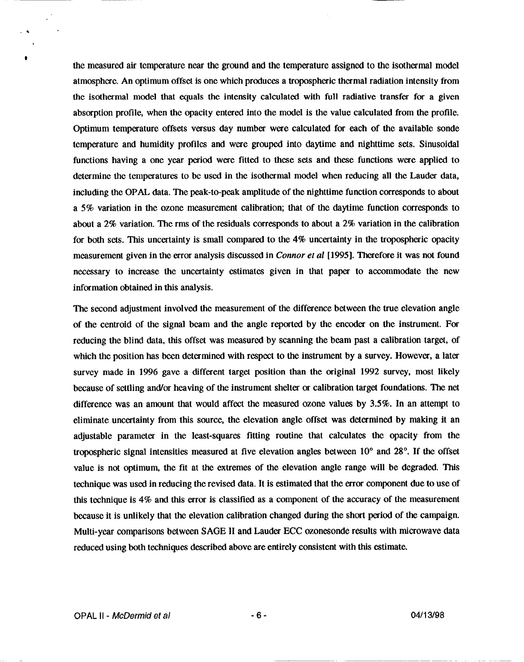the measured air temperature near the ground and the temperature assigned to the isothermal model atmosphere. An optimum offset is one which produces a tropospheric thermal radiation intensity from the isothermal model that equals the intensity calculated with fill radiative transfer for a given absorption profile, when the opacity entered into the model is the value calculated from the profile. Optimum temperature offsets versus day number were calculated for each of the available sonde temperature and humidity profiles and were grouped into daytime and nighttime sets. Sinusoidal functions having a one year period were fitted to these sets and these functions were applied to determine the temperatures to be used in the isothermal model when reducing all the Lauder data, including the OPAL data, The peak-to-peak amplitude of the nighttime function corresponds to about a 5% variation in the ozone measurement calibration; that of the daytime fimction corresponds to about a 2% variation. The rms of the residuals corresponds to about a 2% variation in the calibration for both sets. This uncertainty is small compared to the  $4\%$  uncertainty in the tropospheric opacity measurement given in the error analysis discussed in Connor et *al [1995].* Therefore it was not found necessary to increase the uncertainty estimates given in that paper to accommodate the new information obtained in this analysis.

The second adjustment involved the measurement of the difference between the true elevation angle of the centroid of the signal beam and the angle reported by the encoder on the instrument. For reducing the blind data, this offset was measured by scanning the beam past a calibration target, of which the position has been determined with respect to the instrument by a survey. However, a later survey made in 1996 gave a different target position than the original 1992 survey, most likely because of settling and/or heaving of the instrument shelter or calibration target foundations. The net difference was an amount that would affect the measured ozone values by 3.5%. In an attempt to eliminate uncertainty from this source, the elevation angle offset was determined by making it an adjustable parameter in the least-squares fitting routine that calculates the opacity from the tropospheric signal intensities measured at five elevation angles between 10° and 28°. If the offsel value is not optimum, the fit at the extremes of the elevation angle range will be degraded, This technique was used in reducing the revised data. It is estimated that the error component due to use of this technique is 4% and this error is classified as a component of the accuracy of the measurement because it is unlikely that the elevation calibration changed during the short period of the campaign. Multi-year comparisons between SAGE 11and Lauder ECC ozonesonde results with microwave data reduced using both techniques described above are entirely consistent with this estimate.

.8

\*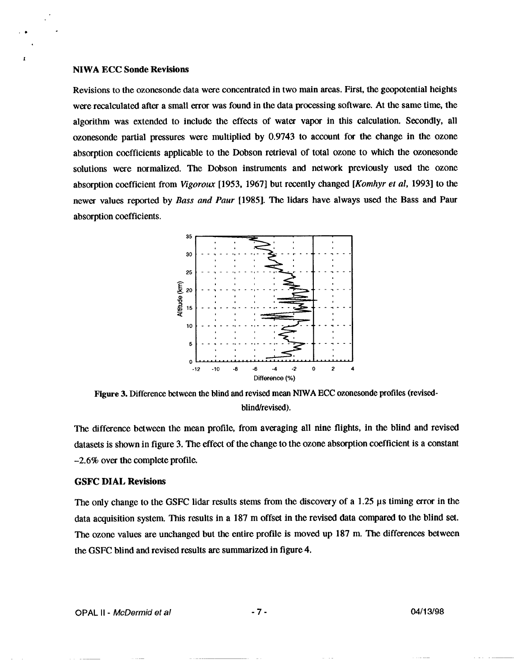#### **NIWA ECC Sonde Revisions**

.m .

**L**

Revisions to the ozonesonde data were concentrated in two main areas. First, the geopotential heights were recalculated after a small error was found in the data processing sofiware. At the same time, the algorithm was extended to include the effects of water vapor in this calculation. Secondly, all ozonesonde partial pressures were multiplied by 0.9743 to account for the change in the ozone absorption coefficients applicable to the Dobson retrieval of total ozone to which the ozonesonde solutions were normalized. The Dobson instruments and network previously used the ozone absorption coefficient from *Vigoroux* [1953, 1967] but recently changed *[Kornhyr et al,* 1993] to the newer values reported by *Bass and Paur* [1985]. The lidars have always used the Bass and Paur absorption coefficients.



Figure 3. Difference between the blind and revised mean NIWA ECC ozonesonde profiles (revisedblind/revised).

The difference between the mean profile, from averaging all nine flights, in the blind and revised datasets is shown in figure 3. The effect of the change to the ozone absorption coefficient is a constant -2.6% over the complete profile.

#### **GSFC DIAL Revisions**

**The only** change to the GSFC lidar results stems from the discovery of a 1.25 ps timing error in the data acquisition system. This results in a 187 m offset in the revised data compared to the blind set. The ozone values are unchanged but the entire profile is moved up 187 m, The differences between the GSFC blind and revised results are summarized in figure 4.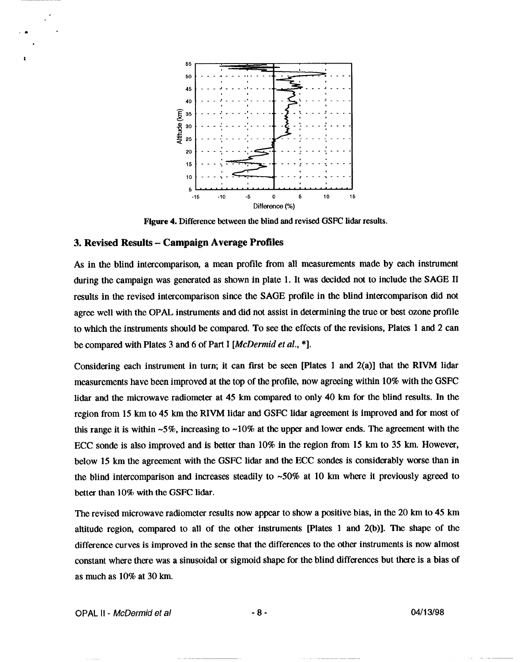

Figure 4. Difference between the blind and revised GSFC lidar results.

#### 3. **Revised Results- Campaign Average Profiles**

.\*

**1**

As in the blind intercomparison, a mean profile from all measurements made by each instrument during the campaign was generated as shown in plate 1. It was decided not to include the SAGE II results in the revised intercomparison since the SAGE profile in the blind intercomparison did not agree well with the OPAL instruments and did not assist in determining the true or best ozone profile to which the instruments should be compared. To see the effects of the revisions, Plates 1 and 2 can be compared with Plates 3 and 6 of Part I *[McDermid et al.,*  $*$ ].

Considering each instrument in turn; it can first be seen [Plates 1 and  $2(a)$ ] that the RIVM lidar measurements have been improved at the top of the profile, now agreeing within 10% with the GSFC lidar and the microwave radiometer at 45 km compared to only 40 km for the blind results. In the region from 15 km to 45 km the RIVM lidar and GSFC lidar agreement is improved and for most of this range it is within  $-5\%$ , increasing to  $-10\%$  at the upper and lower ends. The agreement with the ECC sonde is also improved and is better than 10% in the region from 15 km to **35 km.** However, below 15 km the agreement with the GSFC lidar and the ECC sondes is considerably worse than in the blind intercomparison and increases steadily to  $~50\%$  at 10 km where it previously agreed to better than 10% with the GSFC lidar.

The revised microwave radiometer results now appear to show a positive bias, in the 20 km to 45 km altitude region, compared to all of the other instruments [Plates 1 and 2(b)]. The shape of the difference curves is improved in the sense that the differences to the other instruments is now almost constant where there was a sinusoidal or sigmoid shape for the blind differences but there is a bias of **as** much as 10% at 30 km.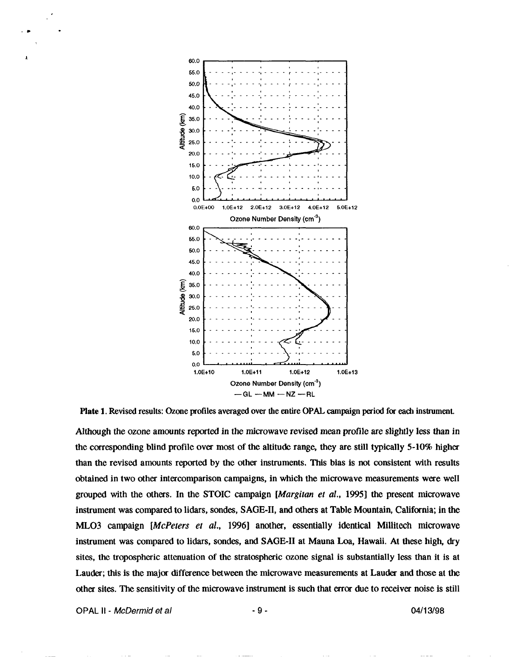

Plate 1. Revised results: Ozone profiles averaged over the entire OPAL campaign period for each instrument.

Although the ozone amounts reported in the microwave *revised* mean profile are slightly less than in the corresponding blind profile over most of the altitude range, they are still typically 5-10% higher than the revised amounts reported by the other instruments. This bias is not consistent with results obtained in two other intercomparison campaigns, in which the microwave measurements were well grouped with the others. In the STOIC campaign *[Margitan et al., 1995]* the present microwave instrument was compared to lidars, sondes, SAGE-II, and others at Table Mountain, California; in the ML03 campaign [McPeters et *al.,* 1996] another, essentially identical Millitech microwave instrument was compared to lidars, sondes, and SAGE-II at Mauna Loa, Hawaii. At these high, dry sites, the tropospheric attenuation of the stratospheric ozone signal is substantially less than it is at Lauder; this is the major difference between the microwave measurements at Lauder and those at the other sites. The sensitivityy of the microwave instrument is such that error due to receiver noise is still

**OPAL II - McDerfnid et a/ -9- 04/1 3198**

.D .

**I**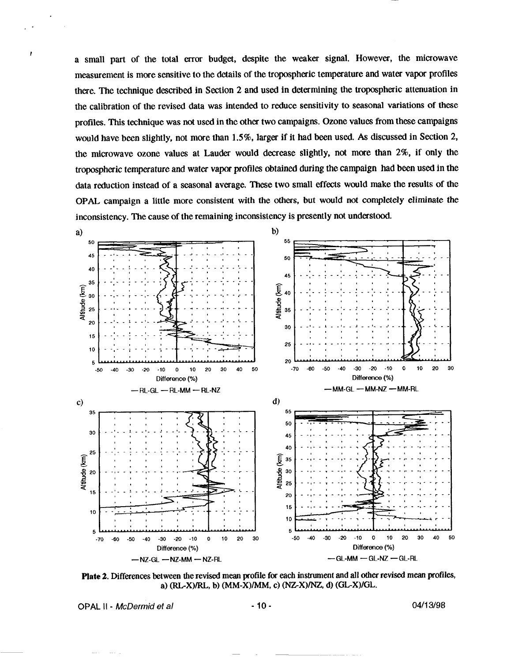a small part of the total error budget, despite the weaker signal. However, the microwave measurement is more sensitive to the details of the tropospheric temperature and water vapor profiles there. The technique described in Section 2 and used in determining the tropospheric attenuation in the calibration of the revised data was intended to reduce sensitivity to seasonal variations of these profiles. This technique was not used in the other two campaigns. Ozone values from these campaigns would have been slightly, not more than 1.5%, larger if it had been used. As discussed in Section 2, the microwave ozone values at Lauder would decrease slightly, not more than 2%, if only the tropospheric temperature and water vapor profiles obtained during the campaign had been used in the data reduction instead of a seasonal average. These two small effects would make the results of the OPAL campaign a little more consistent with the others, but would not completely eliminate the inconsistency. The cause of the remaining inconsistency is presently not understood.



Plate 2. Differences between the revised mean profile for each instrument and all other revised mean profiles, a) (RL-X)/RL, b) (MM-X)/MM, c) (NZ-X)/NZ, d) (GL-X)/GL.

OPAL II - McDermid et al

04/13/98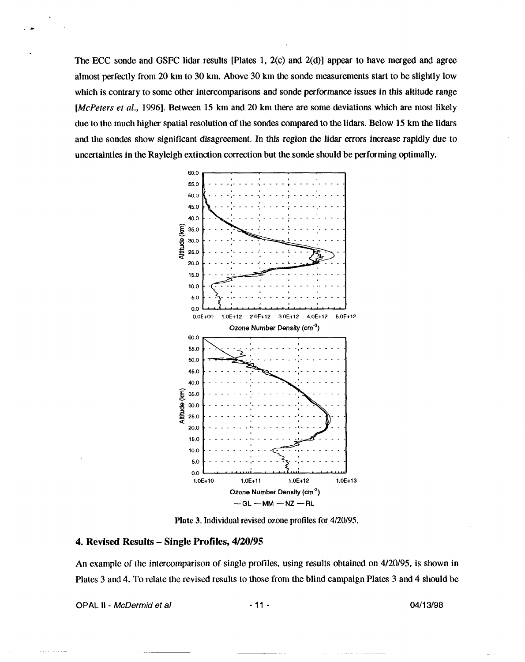The ECC sonde and GSFC lidar results [Plates 1, 2(c) and 2(d)] appear to have merged and agree almost perfectly from 20 km to 30 km. Above 30 km the sonde measurements start to be slightly low which is contrary to some other intercomparisons and sonde performance issues in this altitude range [McPeters et al., 1996]. Between 15 km and 20 km there are some deviations which are most likely due to the much higher spatial resolution of the sondes compared to the lidars. Below 15 km the lidars and the sondes show significant disagreement. In this region the lidar errors increase rapidly due to uncertainties in the Rayleigh extinction correction but the sonde should be performing optimally.



**Plate 3.** Individual revised ozone profiles for 4/20/95.

### 4. Revised Results – Single Profiles, 4/20/95

An example of the intercomparison of single profiles, using results obtained on 4/20/95, is shown in Plates 3 and 4. To relate the revised results to those from the blind campaign Plates 3 and 4 should be

OPAL II - McDermid et al

04/13/98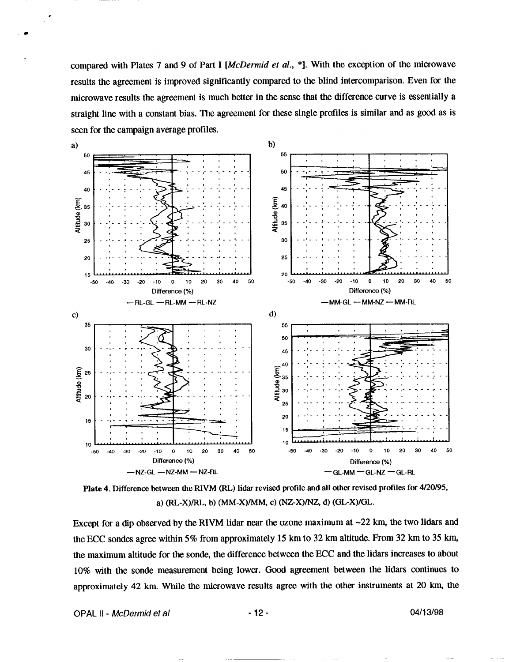compared with Plates 7 and 9 of Part I [McDermid et al., \*]. With the exception of the microwave results the agreement is improved significantly compared to the blind intercomparison. Even for the microwave results the agreement is much better in the sense that the difference curve is essentially a straight line with a constant bias. The agreement for these single profiles is similar and as good as is seen for the campaign average profiles.





Except for a dip observed by the RIVM lidar near the ozone maximum at  $\sim$ 22 km, the two lidars and the ECC sondes agree within 5% from approximately 15 km to 32 km altitude. From 32 km to 35 km, the maximum altitude for the sonde, the difference between the ECC and the lidars increases to about 10% with the sonde measurement being lower. Good agreement between the lidars continues to approximately 42 km. While the microwave results agree with the other instruments at 20 km, the

OPAL II - McDermid et al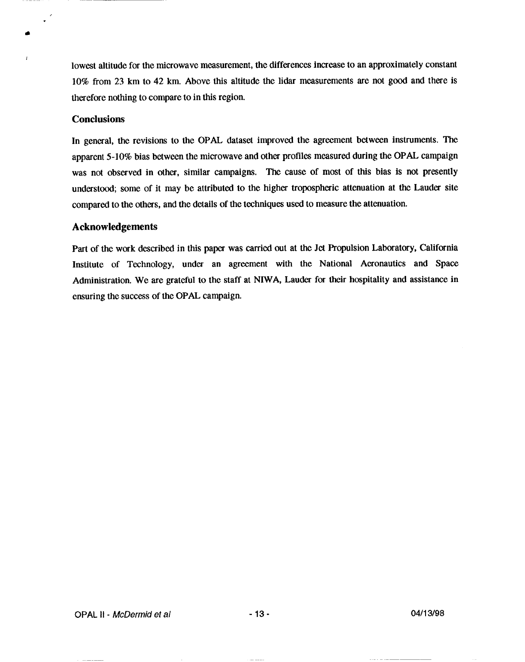lowest altitude for the microwave measurement, the differences increase to an approximately constant 10% from 23 km to 42 km. Above this altitude the Iidar measurements are not good and there is therefore nothing to compare to in this region,

# **Conclusions**

, .

r

In general, the revisions to the OPAL dataset improved the agreement between instruments. The apparent 5-10% bias between the microwave and other profiles measured during the OPAL campaign was not observed in other, similar campaigns. The cause of most of this bias is not presently undemtood; some of it may be attributed to the higher tropospheric attenuation at the Lauder site compared to the others, and the details of the techniques used to measure the attenuation.

# **Acknowledgements**

Part of the work described in this paper was carried out at the Jet Propulsion Laboratory, California Institute of Technology, under an agreement with the National Aeronautics and Space Administration. We are grateful to the staff at NIWA, Lauder for their hospitality and assistance in ensuring the success of the OPAL campaign.